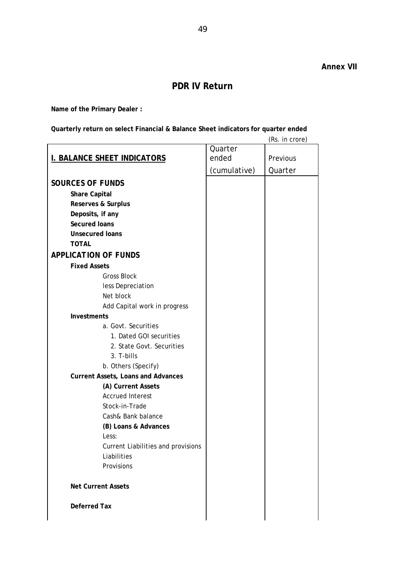## **PDR IV Return**

**Name of the Primary Dealer :** 

**Quarterly return on select Financial & Balance Sheet indicators for quarter ended** 

| Quarter      | (Rs. in crore) |
|--------------|----------------|
|              |                |
| ended        | Previous       |
| (cumulative) | Quarter        |
|              |                |
|              |                |
|              |                |
|              |                |
|              |                |
|              |                |
|              |                |
|              |                |
|              |                |
|              |                |
|              |                |
|              |                |
|              |                |
|              |                |
|              |                |
|              |                |
|              |                |
|              |                |
|              |                |
|              |                |
|              |                |
|              |                |
|              |                |
|              |                |
|              |                |
|              |                |
|              |                |
|              |                |
|              |                |
|              |                |
|              |                |
|              |                |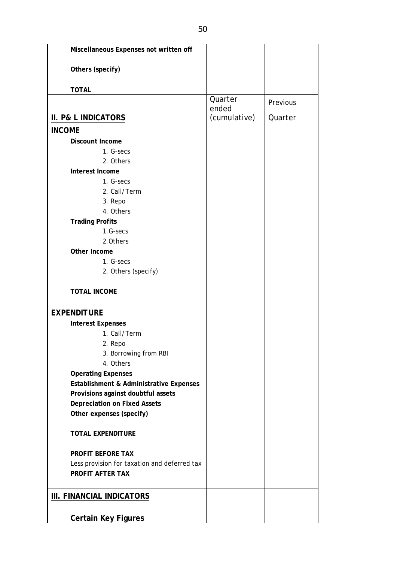| Miscellaneous Expenses not written off       |                  |          |
|----------------------------------------------|------------------|----------|
| Others (specify)                             |                  |          |
| <b>TOTAL</b>                                 |                  |          |
|                                              | Quarter<br>ended | Previous |
| <b>II. P&amp; L INDICATORS</b>               | (cumulative)     | Quarter  |
| <b>INCOME</b>                                |                  |          |
| Discount Income                              |                  |          |
| 1. G-secs                                    |                  |          |
| 2. Others                                    |                  |          |
| Interest Income                              |                  |          |
| 1. G-secs                                    |                  |          |
| 2. Call/Term                                 |                  |          |
| 3. Repo                                      |                  |          |
| 4. Others                                    |                  |          |
| <b>Trading Profits</b>                       |                  |          |
| 1.G-secs                                     |                  |          |
| 2.0thers                                     |                  |          |
| Other Income                                 |                  |          |
| 1. G-secs                                    |                  |          |
| 2. Others (specify)                          |                  |          |
| <b>TOTAL INCOME</b>                          |                  |          |
| <b>EXPENDITURE</b>                           |                  |          |
| <b>Interest Expenses</b>                     |                  |          |
| 1. Call/Term                                 |                  |          |
| 2. Repo                                      |                  |          |
| 3. Borrowing from RBI                        |                  |          |
| 4. Others                                    |                  |          |
| <b>Operating Expenses</b>                    |                  |          |
| Establishment & Administrative Expenses      |                  |          |
| Provisions against doubtful assets           |                  |          |
| <b>Depreciation on Fixed Assets</b>          |                  |          |
| Other expenses (specify)                     |                  |          |
| <b>TOTAL EXPENDITURE</b>                     |                  |          |
| PROFIT BEFORE TAX                            |                  |          |
| Less provision for taxation and deferred tax |                  |          |
| PROFIT AFTER TAX                             |                  |          |
| <b>III. FINANCIAL INDICATORS</b>             |                  |          |
| <b>Certain Key Figures</b>                   |                  |          |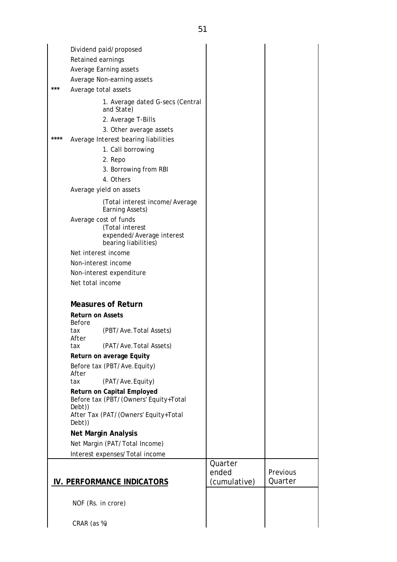Dividend paid/proposed Retained earnings Average Earning assets Average Non-earning assets Average total assets 1. Average dated G-secs (Central and State) 2. Average T-Bills 3. Other average assets **\*\*\*\*** Average Interest bearing liabilities 1. Call borrowing 2. Repo 3. Borrowing from RBI 4. Others Average yield on assets (Total interest income/Average Earning Assets) Average cost of funds (Total interest expended/Average interest bearing liabilities) Net interest income Non-interest income Non-interest expenditure Net total income  **Measures of Return Return on Assets**  Before tax (PBT/Ave.Total Assets) After tax (PAT/Ave.Total Assets)  **Return on average Equity**  Before tax (PBT/Ave.Equity) After tax (PAT/Ave.Equity)  **Return on Capital Employed**  Before tax (PBT/(Owners' Equity+Total Debt)) After Tax (PAT/(Owners' Equity+Total Debt))  **Net Margin Analysis** Net Margin (PAT/Total Income) Interest expenses/Total income  **IV. PERFORMANCE INDICATORS Quarter** ended (cumulative) **Previous Quarter**  NOF (Rs. in crore) CRAR (as %)